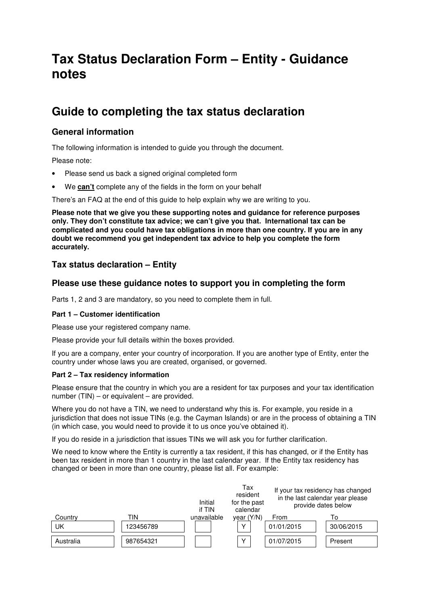# **Tax Status Declaration Form – Entity - Guidance notes**

# **Guide to completing the tax status declaration**

## **General information**

The following information is intended to guide you through the document.

Please note:

- Please send us back a signed original completed form
- We **can't** complete any of the fields in the form on your behalf

There's an FAQ at the end of this guide to help explain why we are writing to you.

**Please note that we give you these supporting notes and guidance for reference purposes only. They don't constitute tax advice; we can't give you that. International tax can be complicated and you could have tax obligations in more than one country. If you are in any doubt we recommend you get independent tax advice to help you complete the form accurately.**

### **Tax status declaration – Entity**

### **Please use these guidance notes to support you in completing the form**

Parts 1, 2 and 3 are mandatory, so you need to complete them in full.

#### **Part 1 – Customer identification**

Please use your registered company name.

Please provide your full details within the boxes provided.

If you are a company, enter your country of incorporation. If you are another type of Entity, enter the country under whose laws you are created, organised, or governed.

#### **Part 2 – Tax residency information**

Please ensure that the country in which you are a resident for tax purposes and your tax identification number (TIN) – or equivalent – are provided.

Where you do not have a TIN, we need to understand why this is. For example, you reside in a jurisdiction that does not issue TINs (e.g. the Cayman Islands) or are in the process of obtaining a TIN (in which case, you would need to provide it to us once you've obtained it).

If you do reside in a jurisdiction that issues TINs we will ask you for further clarification.

We need to know where the Entity is currently a tax resident, if this has changed, or if the Entity has been tax resident in more than 1 country in the last calendar year. If the Entity tax residency has changed or been in more than one country, please list all. For example:

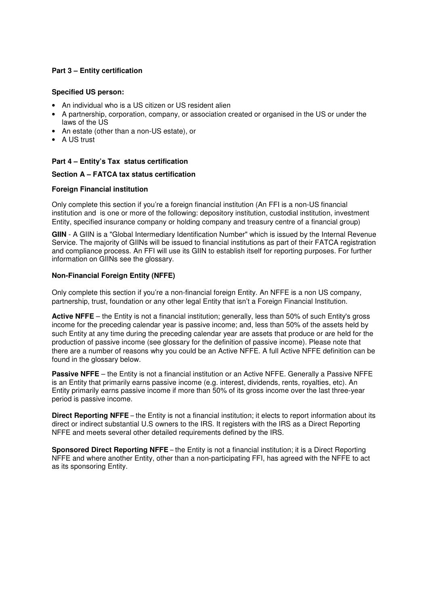#### **Part 3 – Entity certification**

#### **Specified US person:**

- An individual who is a US citizen or US resident alien
- A partnership, corporation, company, or association created or organised in the US or under the laws of the US
- An estate (other than a non-US estate), or
- A US trust

#### **Part 4 – Entity's Tax status certification**

#### **Section A – FATCA tax status certification**

#### **Foreign Financial institution**

Only complete this section if you're a foreign financial institution (An FFI is a non-US financial institution and is one or more of the following: depository institution, custodial institution, investment Entity, specified insurance company or holding company and treasury centre of a financial group)

**GIIN** - A GIIN is a "Global Intermediary Identification Number" which is issued by the Internal Revenue Service. The majority of GIINs will be issued to financial institutions as part of their FATCA registration and compliance process. An FFI will use its GIIN to establish itself for reporting purposes. For further information on GIINs see the glossary.

#### **Non-Financial Foreign Entity (NFFE)**

Only complete this section if you're a non-financial foreign Entity. An NFFE is a non US company, partnership, trust, foundation or any other legal Entity that isn't a Foreign Financial Institution.

**Active NFFE** – the Entity is not a financial institution; generally, less than 50% of such Entity's gross income for the preceding calendar year is passive income; and, less than 50% of the assets held by such Entity at any time during the preceding calendar year are assets that produce or are held for the production of passive income (see glossary for the definition of passive income). Please note that there are a number of reasons why you could be an Active NFFE. A full Active NFFE definition can be found in the glossary below.

**Passive NFFE** – the Entity is not a financial institution or an Active NFFE. Generally a Passive NFFE is an Entity that primarily earns passive income (e.g. interest, dividends, rents, royalties, etc). An Entity primarily earns passive income if more than 50% of its gross income over the last three-year period is passive income.

**Direct Reporting NFFE** – the Entity is not a financial institution; it elects to report information about its direct or indirect substantial U.S owners to the IRS. It registers with the IRS as a Direct Reporting NFFE and meets several other detailed requirements defined by the IRS.

**Sponsored Direct Reporting NFFE** – the Entity is not a financial institution; it is a Direct Reporting NFFE and where another Entity, other than a non-participating FFI, has agreed with the NFFE to act as its sponsoring Entity.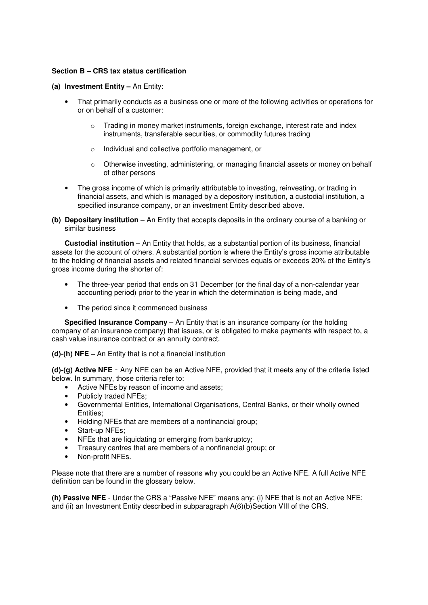#### **Section B – CRS tax status certification**

#### **(a) Investment Entity –** An Entity:

- That primarily conducts as a business one or more of the following activities or operations for or on behalf of a customer:
	- Trading in money market instruments, foreign exchange, interest rate and index instruments, transferable securities, or commodity futures trading
	- o Individual and collective portfolio management, or
	- o Otherwise investing, administering, or managing financial assets or money on behalf of other persons
- The gross income of which is primarily attributable to investing, reinvesting, or trading in financial assets, and which is managed by a depository institution, a custodial institution, a specified insurance company, or an investment Entity described above.
- **(b) Depositary institution** An Entity that accepts deposits in the ordinary course of a banking or similar business

**Custodial institution** – An Entity that holds, as a substantial portion of its business, financial assets for the account of others. A substantial portion is where the Entity's gross income attributable to the holding of financial assets and related financial services equals or exceeds 20% of the Entity's gross income during the shorter of:

- The three-year period that ends on 31 December (or the final day of a non-calendar year accounting period) prior to the year in which the determination is being made, and
- The period since it commenced business

**Specified Insurance Company** – An Entity that is an insurance company (or the holding company of an insurance company) that issues, or is obligated to make payments with respect to, a cash value insurance contract or an annuity contract.

#### **(d)-(h) NFE –** An Entity that is not a financial institution

**(d)-(g) Active NFE** - Any NFE can be an Active NFE, provided that it meets any of the criteria listed below. In summary, those criteria refer to:

- Active NFEs by reason of income and assets;
- Publicly traded NFEs;
- Governmental Entities, International Organisations, Central Banks, or their wholly owned Entities;
- Holding NFEs that are members of a nonfinancial group;
- Start-up NFEs;
- NFEs that are liquidating or emerging from bankruptcy;
- Treasury centres that are members of a nonfinancial group; or
- Non-profit NFEs.

Please note that there are a number of reasons why you could be an Active NFE. A full Active NFE definition can be found in the glossary below.

**(h) Passive NFE** - Under the CRS a "Passive NFE" means any: (i) NFE that is not an Active NFE; and (ii) an Investment Entity described in subparagraph A(6)(b)Section VIII of the CRS.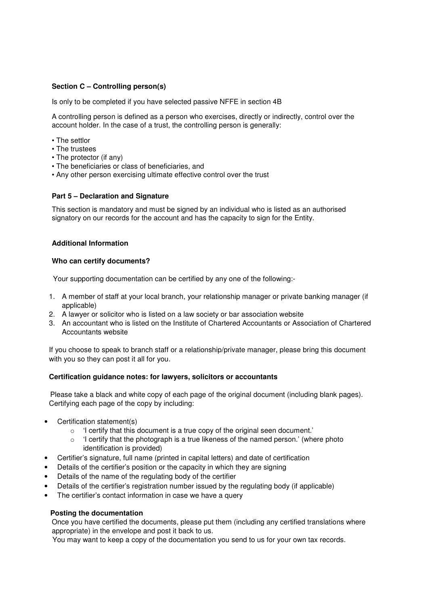#### **Section C – Controlling person(s)**

Is only to be completed if you have selected passive NFFE in section 4B

A controlling person is defined as a person who exercises, directly or indirectly, control over the account holder. In the case of a trust, the controlling person is generally:

- The settlor
- The trustees
- The protector (if any)
- The beneficiaries or class of beneficiaries, and
- Any other person exercising ultimate effective control over the trust

#### **Part 5 – Declaration and Signature**

This section is mandatory and must be signed by an individual who is listed as an authorised signatory on our records for the account and has the capacity to sign for the Entity.

#### **Additional Information**

#### **Who can certify documents?**

Your supporting documentation can be certified by any one of the following:-

- 1. A member of staff at your local branch, your relationship manager or private banking manager (if applicable)
- 2. A lawyer or solicitor who is listed on a law society or bar association website
- 3. An accountant who is listed on the Institute of Chartered Accountants or Association of Chartered Accountants website

If you choose to speak to branch staff or a relationship/private manager, please bring this document with you so they can post it all for you.

#### **Certification guidance notes: for lawyers, solicitors or accountants**

Please take a black and white copy of each page of the original document (including blank pages). Certifying each page of the copy by including:

- Certification statement(s)
	- o 'I certify that this document is a true copy of the original seen document.'
	- $\circ$  'I certify that the photograph is a true likeness of the named person.' (where photo identification is provided)
- Certifier's signature, full name (printed in capital letters) and date of certification
- Details of the certifier's position or the capacity in which they are signing
- Details of the name of the regulating body of the certifier
- Details of the certifier's registration number issued by the regulating body (if applicable)
- The certifier's contact information in case we have a query

#### **Posting the documentation**

Once you have certified the documents, please put them (including any certified translations where appropriate) in the envelope and post it back to us.

You may want to keep a copy of the documentation you send to us for your own tax records.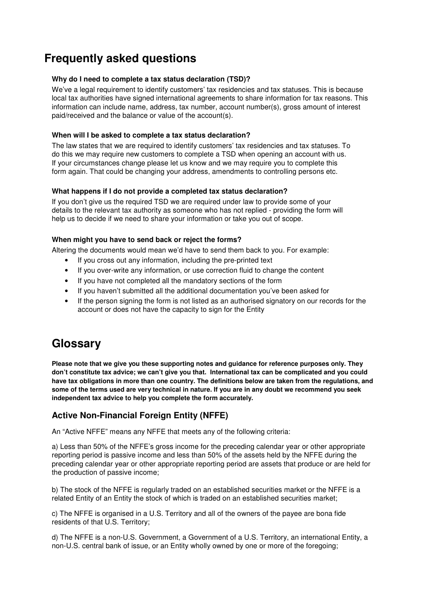## **Frequently asked questions**

#### **Why do I need to complete a tax status declaration (TSD)?**

We've a legal requirement to identify customers' tax residencies and tax statuses. This is because local tax authorities have signed international agreements to share information for tax reasons. This information can include name, address, tax number, account number(s), gross amount of interest paid/received and the balance or value of the account(s).

#### **When will I be asked to complete a tax status declaration?**

The law states that we are required to identify customers' tax residencies and tax statuses. To do this we may require new customers to complete a TSD when opening an account with us. If your circumstances change please let us know and we may require you to complete this form again. That could be changing your address, amendments to controlling persons etc.

#### **What happens if I do not provide a completed tax status declaration?**

If you don't give us the required TSD we are required under law to provide some of your details to the relevant tax authority as someone who has not replied - providing the form will help us to decide if we need to share your information or take you out of scope.

#### **When might you have to send back or reject the forms?**

Altering the documents would mean we'd have to send them back to you. For example:

- If you cross out any information, including the pre-printed text
- If you over-write any information, or use correction fluid to change the content
- If you have not completed all the mandatory sections of the form
- If you haven't submitted all the additional documentation you've been asked for
- If the person signing the form is not listed as an authorised signatory on our records for the account or does not have the capacity to sign for the Entity

## **Glossary**

**Please note that we give you these supporting notes and guidance for reference purposes only. They don't constitute tax advice; we can't give you that. International tax can be complicated and you could have tax obligations in more than one country. The definitions below are taken from the regulations, and some of the terms used are very technical in nature. If you are in any doubt we recommend you seek independent tax advice to help you complete the form accurately.**

### **Active Non-Financial Foreign Entity (NFFE)**

An "Active NFFE" means any NFFE that meets any of the following criteria:

a) Less than 50% of the NFFE's gross income for the preceding calendar year or other appropriate reporting period is passive income and less than 50% of the assets held by the NFFE during the preceding calendar year or other appropriate reporting period are assets that produce or are held for the production of passive income;

b) The stock of the NFFE is regularly traded on an established securities market or the NFFE is a related Entity of an Entity the stock of which is traded on an established securities market;

c) The NFFE is organised in a U.S. Territory and all of the owners of the payee are bona fide residents of that U.S. Territory;

d) The NFFE is a non-U.S. Government, a Government of a U.S. Territory, an international Entity, a non-U.S. central bank of issue, or an Entity wholly owned by one or more of the foregoing;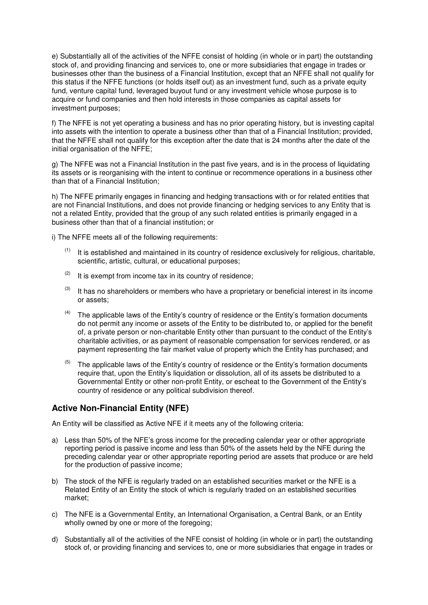e) Substantially all of the activities of the NFFE consist of holding (in whole or in part) the outstanding stock of, and providing financing and services to, one or more subsidiaries that engage in trades or businesses other than the business of a Financial Institution, except that an NFFE shall not qualify for this status if the NFFE functions (or holds itself out) as an investment fund, such as a private equity fund, venture capital fund, leveraged buyout fund or any investment vehicle whose purpose is to acquire or fund companies and then hold interests in those companies as capital assets for investment purposes;

f) The NFFE is not yet operating a business and has no prior operating history, but is investing capital into assets with the intention to operate a business other than that of a Financial Institution; provided, that the NFFE shall not qualify for this exception after the date that is 24 months after the date of the initial organisation of the NFFE;

g) The NFFE was not a Financial Institution in the past five years, and is in the process of liquidating its assets or is reorganising with the intent to continue or recommence operations in a business other than that of a Financial Institution;

h) The NFFE primarily engages in financing and hedging transactions with or for related entities that are not Financial Institutions, and does not provide financing or hedging services to any Entity that is not a related Entity, provided that the group of any such related entities is primarily engaged in a business other than that of a financial institution; or

i) The NFFE meets all of the following requirements:

- $(1)$  It is established and maintained in its country of residence exclusively for religious, charitable, scientific, artistic, cultural, or educational purposes;
- $(2)$  It is exempt from income tax in its country of residence;
- $(3)$  It has no shareholders or members who have a proprietary or beneficial interest in its income or assets;
- $(4)$  The applicable laws of the Entity's country of residence or the Entity's formation documents do not permit any income or assets of the Entity to be distributed to, or applied for the benefit of, a private person or non-charitable Entity other than pursuant to the conduct of the Entity's charitable activities, or as payment of reasonable compensation for services rendered, or as payment representing the fair market value of property which the Entity has purchased; and
- $<sup>(5)</sup>$  The applicable laws of the Entity's country of residence or the Entity's formation documents</sup> require that, upon the Entity's liquidation or dissolution, all of its assets be distributed to a Governmental Entity or other non-profit Entity, or escheat to the Government of the Entity's country of residence or any political subdivision thereof.

### **Active Non-Financial Entity (NFE)**

An Entity will be classified as Active NFE if it meets any of the following criteria:

- a) Less than 50% of the NFE's gross income for the preceding calendar year or other appropriate reporting period is passive income and less than 50% of the assets held by the NFE during the preceding calendar year or other appropriate reporting period are assets that produce or are held for the production of passive income;
- b) The stock of the NFE is regularly traded on an established securities market or the NFE is a Related Entity of an Entity the stock of which is regularly traded on an established securities market;
- c) The NFE is a Governmental Entity, an International Organisation, a Central Bank, or an Entity wholly owned by one or more of the foregoing;
- d) Substantially all of the activities of the NFE consist of holding (in whole or in part) the outstanding stock of, or providing financing and services to, one or more subsidiaries that engage in trades or